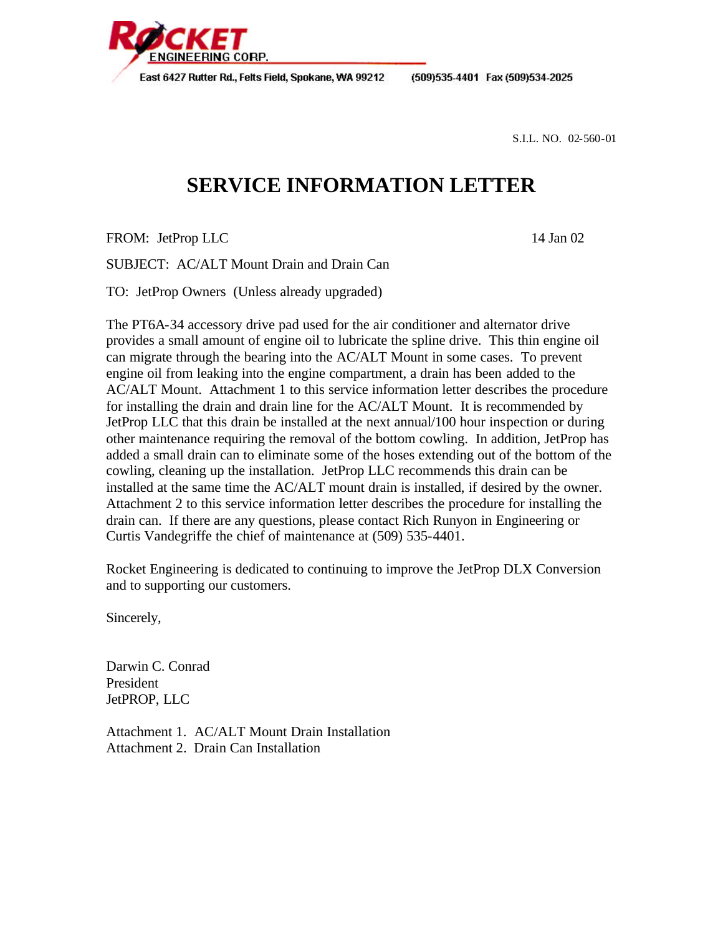

**ENGINEERING CORP.** 

(509)535-4401 Fax (509)534-2025

S.I.L. NO. 02-560-01

## **SERVICE INFORMATION LETTER**

FROM: JetProp LLC 14 Jan 02

SUBJECT: AC/ALT Mount Drain and Drain Can

TO: JetProp Owners (Unless already upgraded)

The PT6A-34 accessory drive pad used for the air conditioner and alternator drive provides a small amount of engine oil to lubricate the spline drive. This thin engine oil can migrate through the bearing into the AC/ALT Mount in some cases. To prevent engine oil from leaking into the engine compartment, a drain has been added to the AC/ALT Mount. Attachment 1 to this service information letter describes the procedure for installing the drain and drain line for the AC/ALT Mount. It is recommended by JetProp LLC that this drain be installed at the next annual/100 hour inspection or during other maintenance requiring the removal of the bottom cowling. In addition, JetProp has added a small drain can to eliminate some of the hoses extending out of the bottom of the cowling, cleaning up the installation. JetProp LLC recommends this drain can be installed at the same time the AC/ALT mount drain is installed, if desired by the owner. Attachment 2 to this service information letter describes the procedure for installing the drain can. If there are any questions, please contact Rich Runyon in Engineering or Curtis Vandegriffe the chief of maintenance at (509) 535-4401.

Rocket Engineering is dedicated to continuing to improve the JetProp DLX Conversion and to supporting our customers.

Sincerely,

Darwin C. Conrad President JetPROP, LLC

Attachment 1. AC/ALT Mount Drain Installation Attachment 2. Drain Can Installation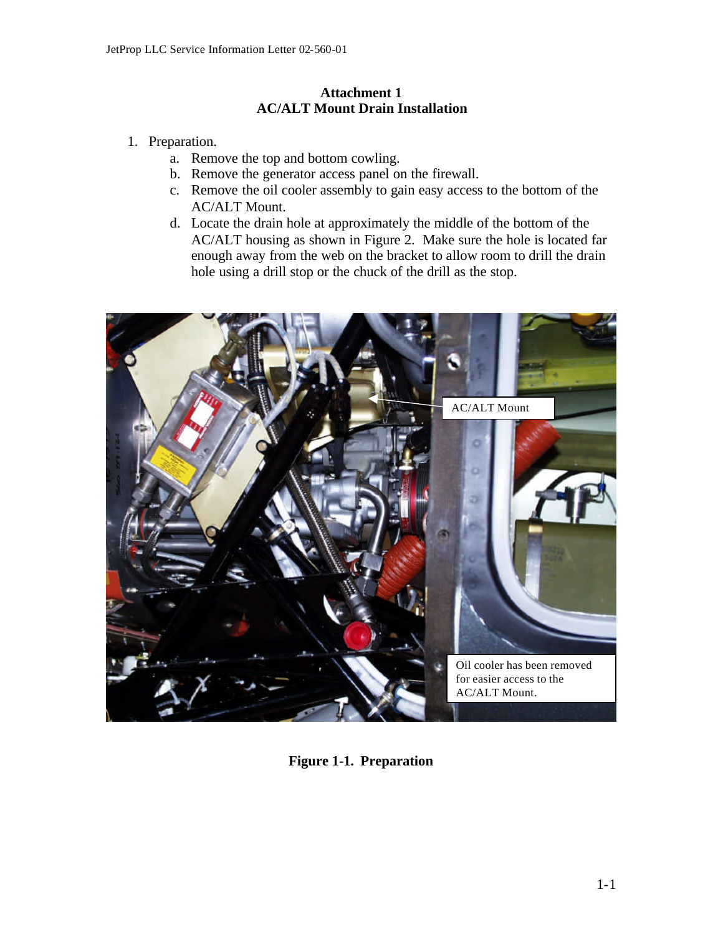## **Attachment 1 AC/ALT Mount Drain Installation**

- 1. Preparation.
	- a. Remove the top and bottom cowling.
	- b. Remove the generator access panel on the firewall.
	- c. Remove the oil cooler assembly to gain easy access to the bottom of the AC/ALT Mount.
	- d. Locate the drain hole at approximately the middle of the bottom of the AC/ALT housing as shown in Figure 2. Make sure the hole is located far enough away from the web on the bracket to allow room to drill the drain hole using a drill stop or the chuck of the drill as the stop.



**Figure 1-1. Preparation**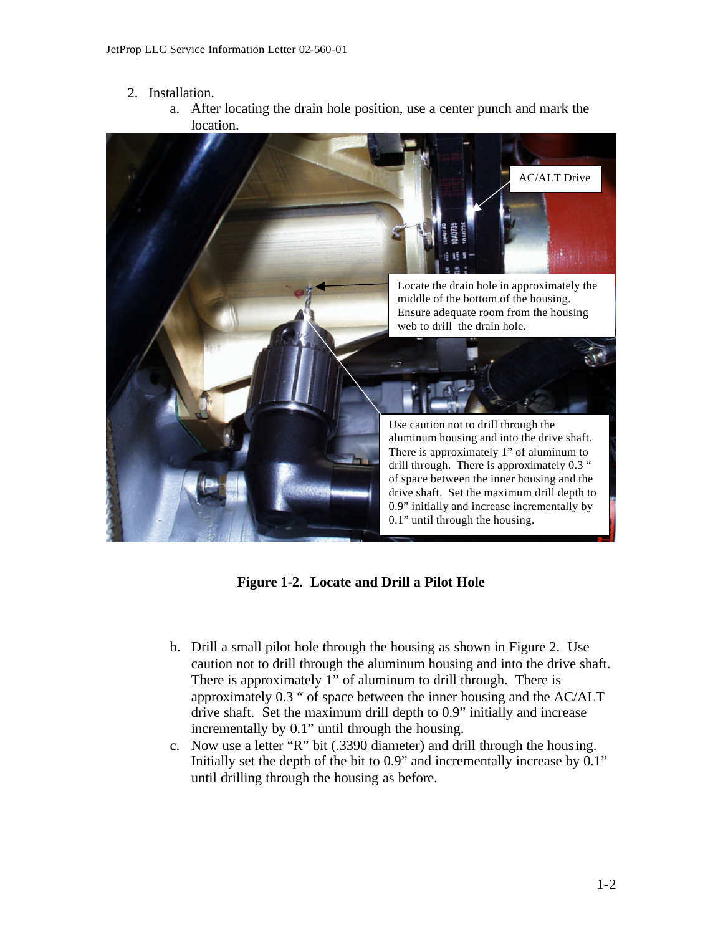- 2. Installation.
	- a. After locating the drain hole position, use a center punch and mark the location.



**Figure 1-2. Locate and Drill a Pilot Hole** 

- b. Drill a small pilot hole through the housing as shown in Figure 2. Use caution not to drill through the aluminum housing and into the drive shaft. There is approximately 1" of aluminum to drill through. There is approximately 0.3 " of space between the inner housing and the AC/ALT drive shaft. Set the maximum drill depth to 0.9" initially and increase incrementally by 0.1" until through the housing.
- c. Now use a letter "R" bit (.3390 diameter) and drill through the housing. Initially set the depth of the bit to 0.9" and incrementally increase by 0.1" until drilling through the housing as before.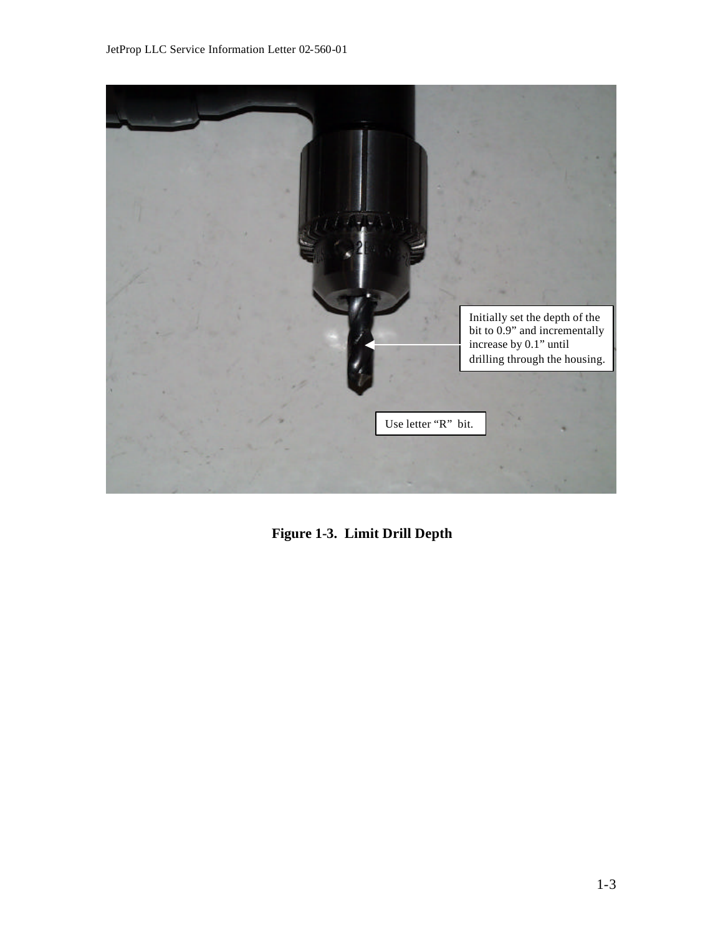

**Figure 1-3. Limit Drill Depth**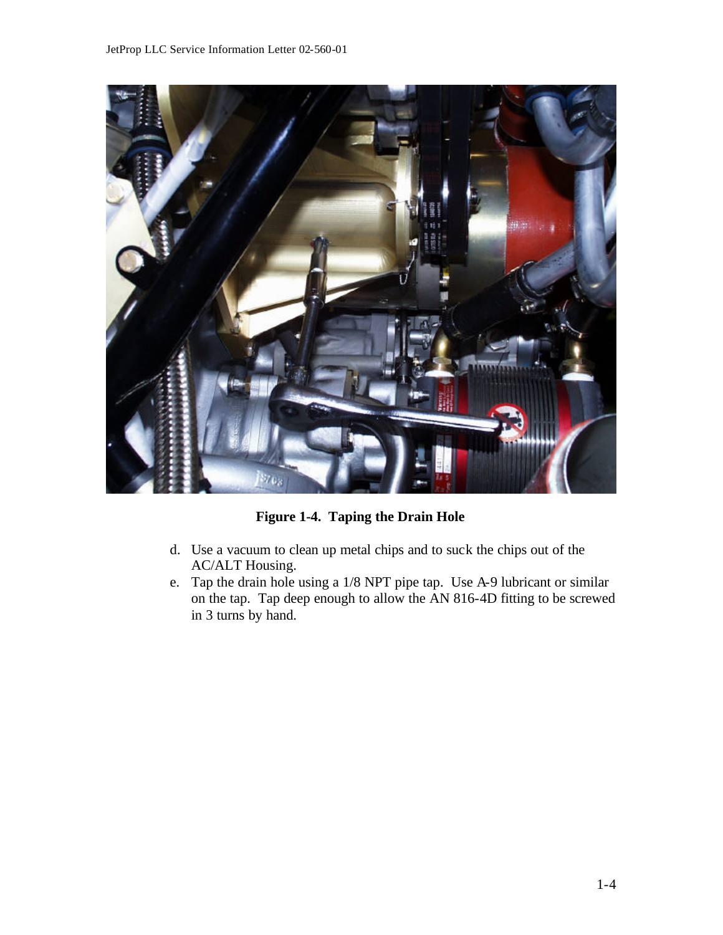

**Figure 1-4. Taping the Drain Hole**

- d. Use a vacuum to clean up metal chips and to suck the chips out of the AC/ALT Housing.
- e. Tap the drain hole using a 1/8 NPT pipe tap. Use A-9 lubricant or similar on the tap. Tap deep enough to allow the AN 816-4D fitting to be screwed in 3 turns by hand.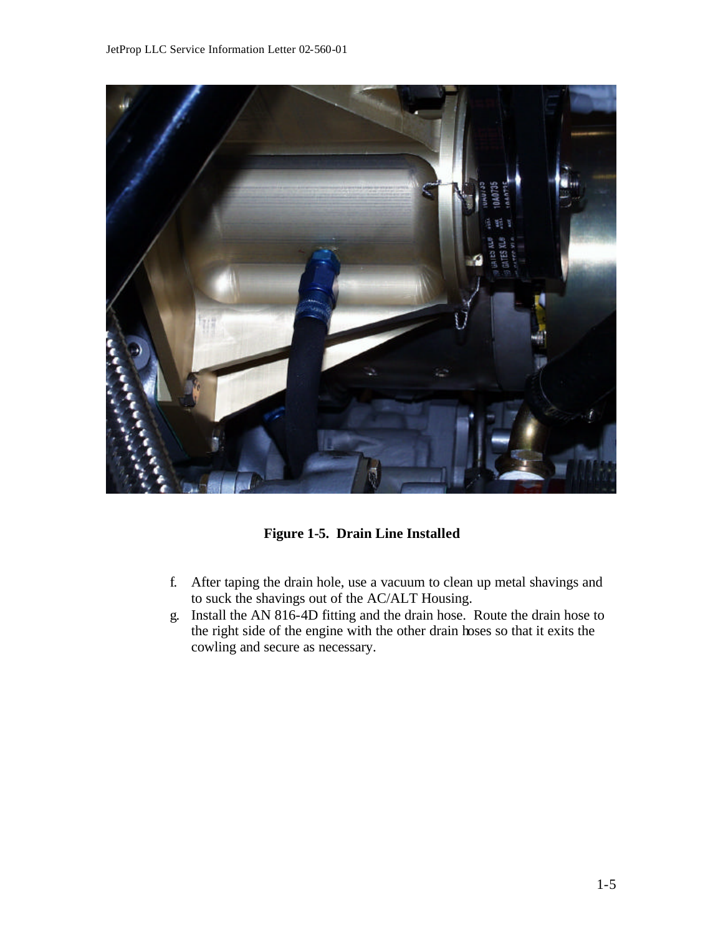

**Figure 1-5. Drain Line Installed**

- f. After taping the drain hole, use a vacuum to clean up metal shavings and to suck the shavings out of the AC/ALT Housing.
- g. Install the AN 816-4D fitting and the drain hose. Route the drain hose to the right side of the engine with the other drain hoses so that it exits the cowling and secure as necessary.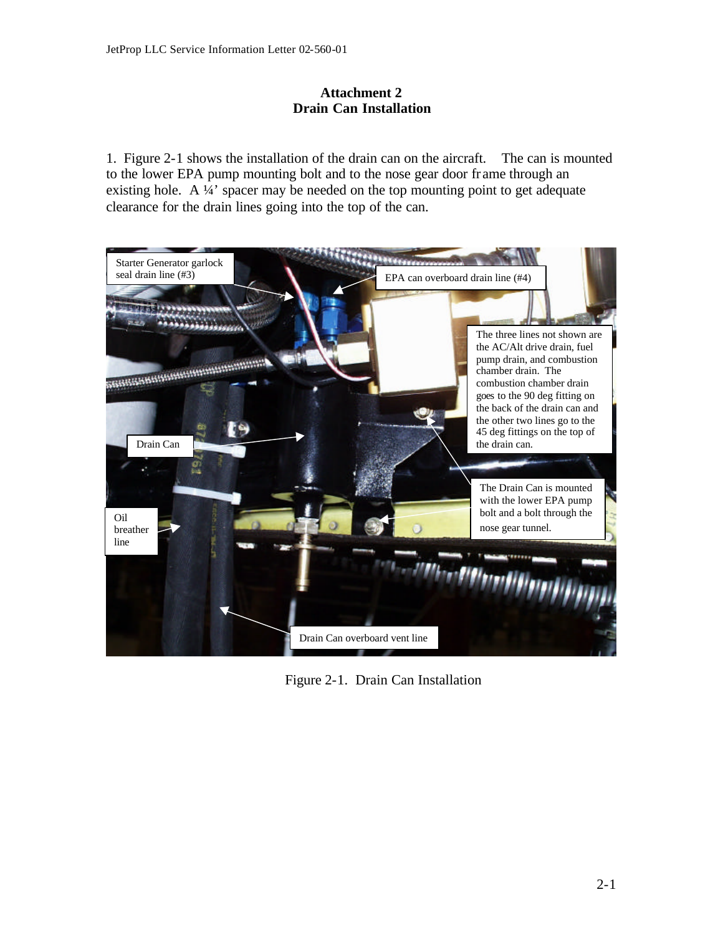## **Attachment 2 Drain Can Installation**

1. Figure 2-1 shows the installation of the drain can on the aircraft. The can is mounted to the lower EPA pump mounting bolt and to the nose gear door fr ame through an existing hole. A ¼' spacer may be needed on the top mounting point to get adequate clearance for the drain lines going into the top of the can.



Figure 2-1. Drain Can Installation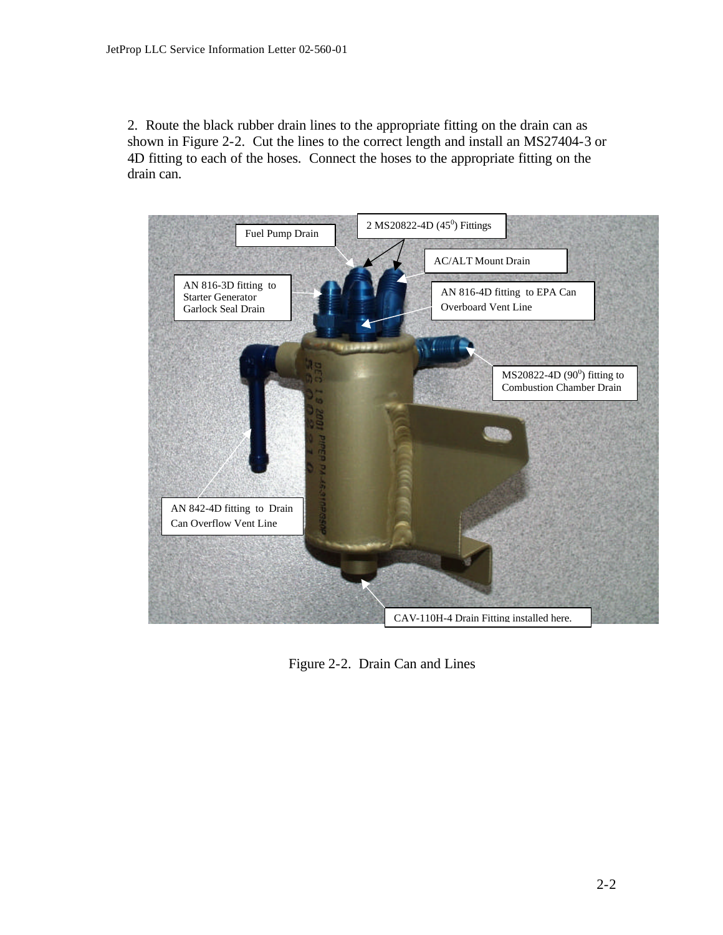2. Route the black rubber drain lines to the appropriate fitting on the drain can as shown in Figure 2-2. Cut the lines to the correct length and install an MS27404-3 or 4D fitting to each of the hoses. Connect the hoses to the appropriate fitting on the drain can.



Figure 2-2. Drain Can and Lines